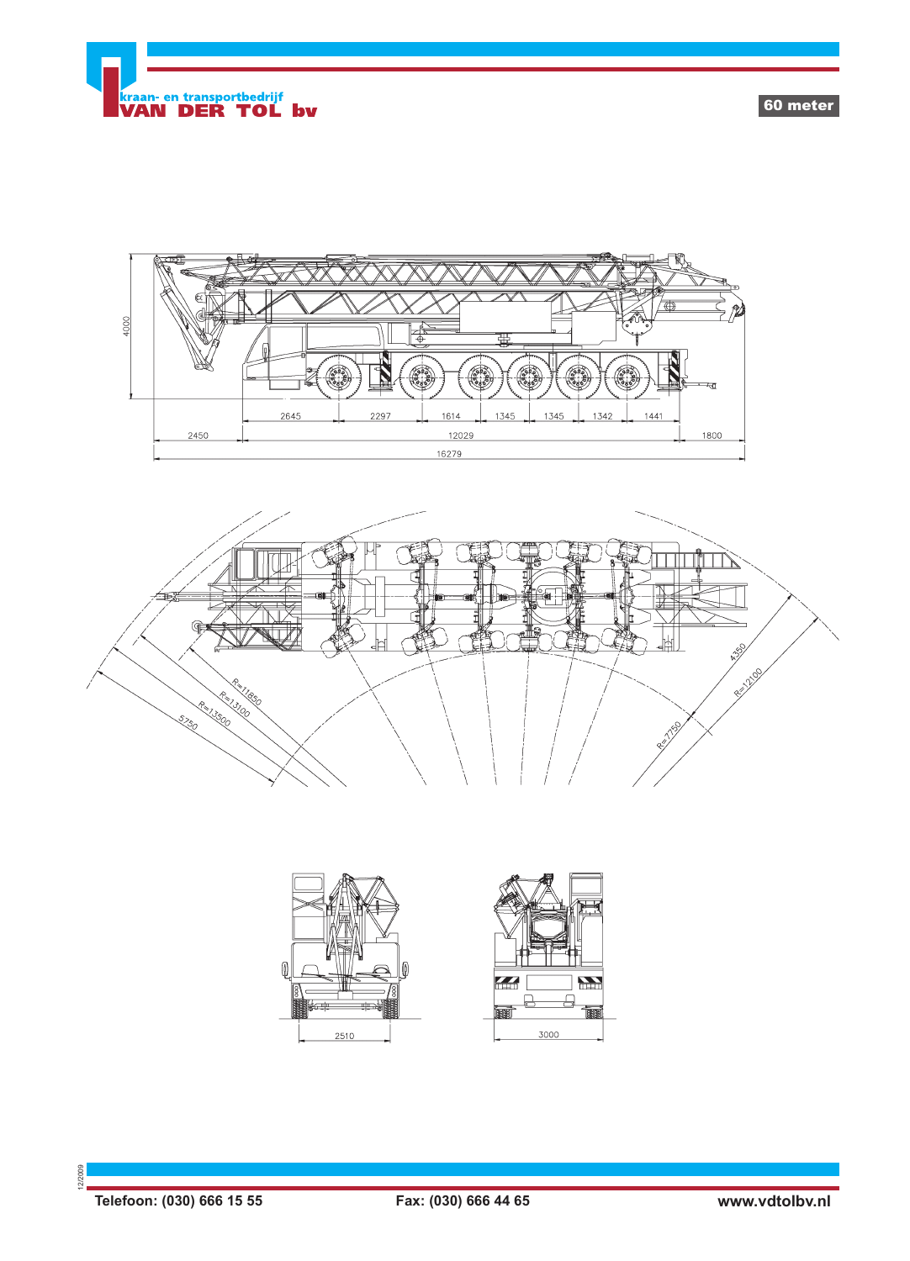

60 meter









12/2009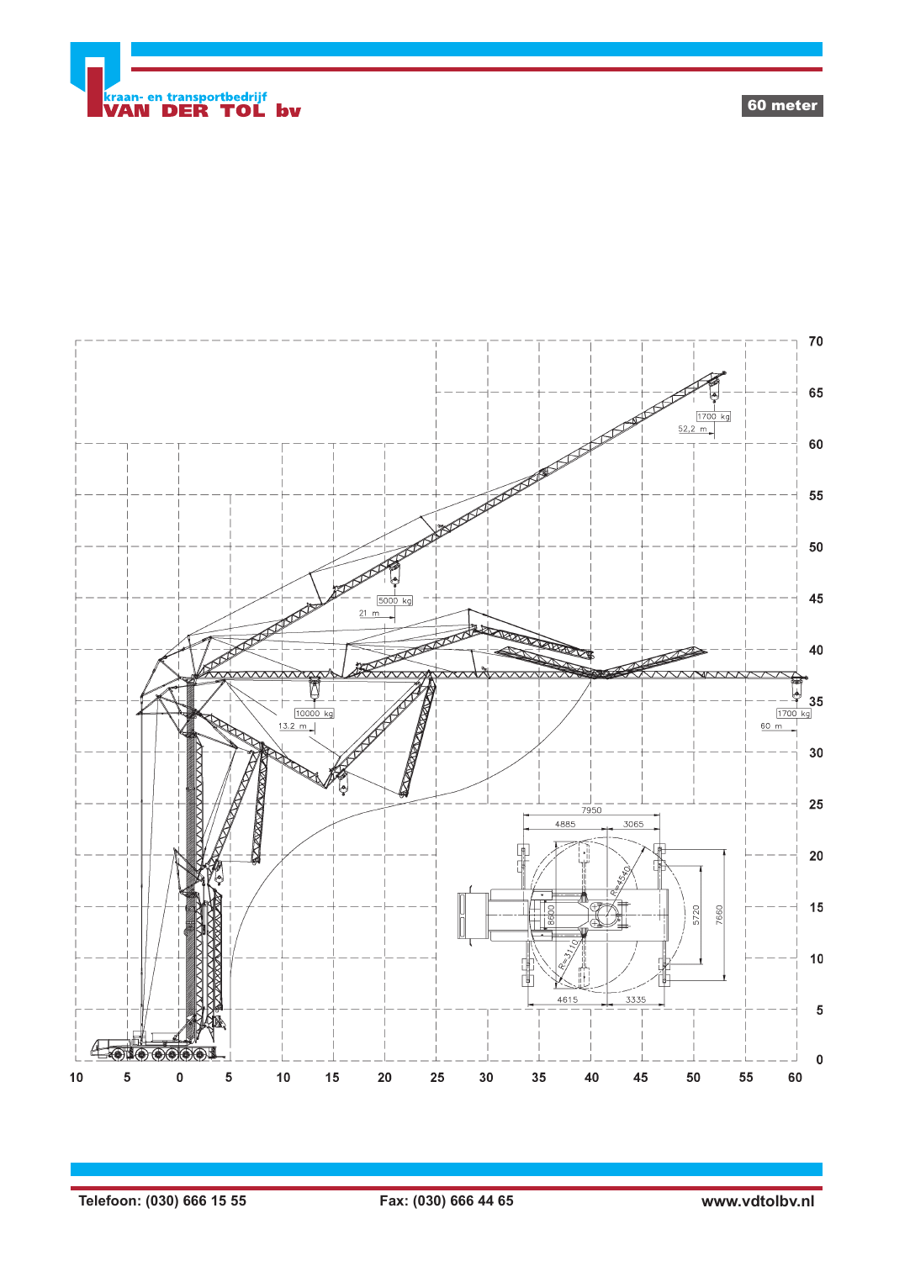

 ${\bf 70}$ 65  $\frac{1700 \text{ kg}}{52,2 \text{ m}}$ 60  $\begin{matrix} 1 & -1 \\ 1 & 1 \end{matrix}$ 55 50 45 500  $21 m$ 40  $-\frac{4}{1700}$  35  $\frac{13.2 \text{ m}}{10000 \text{ kg}}$  $60 m$  $30\,$ 25  $\frac{1}{7950}$ **EXXXX** 4885 3065  ${\bf 20}$  $15$ 5720 7660  $\overline{\mathbb{R}}$  $10$  $\frac{1}{\sqrt{2}}$  $4615$ 3335  $5\phantom{.0}$  $470000000$  $\pmb{0}$  $10$ 5  $\bf{0}$ 5  $10$ 15 20 25  $30$ 35  $40\,$ 45  ${\bf 50}$ 55 60

60 meter